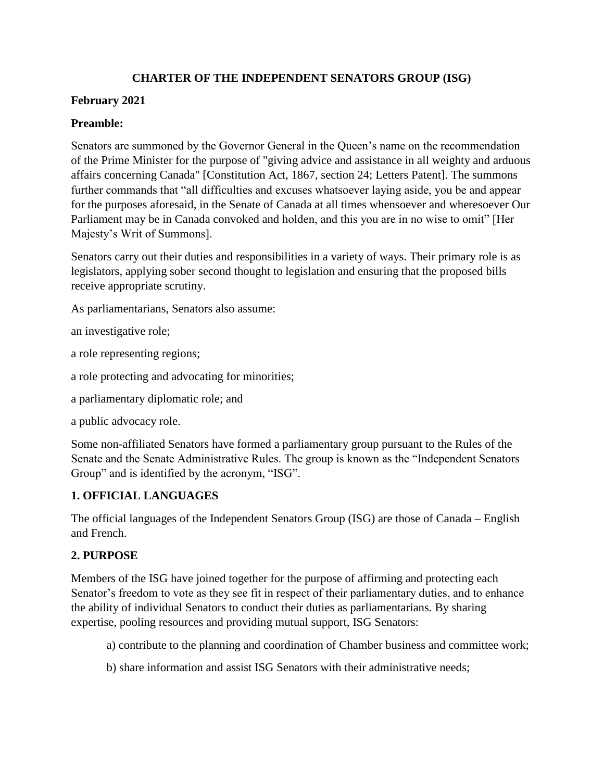# **CHARTER OF THE INDEPENDENT SENATORS GROUP (ISG)**

## **February 2021**

# **Preamble:**

Senators are summoned by the Governor General in the Queen's name on the recommendation of the Prime Minister for the purpose of "giving advice and assistance in all weighty and arduous affairs concerning Canada" [Constitution Act, 1867, section 24; Letters Patent]. The summons further commands that "all difficulties and excuses whatsoever laying aside, you be and appear for the purposes aforesaid, in the Senate of Canada at all times whensoever and wheresoever Our Parliament may be in Canada convoked and holden, and this you are in no wise to omit" [Her Majesty's Writ of Summons].

Senators carry out their duties and responsibilities in a variety of ways. Their primary role is as legislators, applying sober second thought to legislation and ensuring that the proposed bills receive appropriate scrutiny.

As parliamentarians, Senators also assume:

an investigative role;

a role representing regions;

a role protecting and advocating for minorities;

a parliamentary diplomatic role; and

a public advocacy role.

Some non-affiliated Senators have formed a parliamentary group pursuant to the Rules of the Senate and the Senate Administrative Rules. The group is known as the "Independent Senators Group" and is identified by the acronym, "ISG".

# **1. OFFICIAL LANGUAGES**

The official languages of the Independent Senators Group (ISG) are those of Canada – English and French.

## **2. PURPOSE**

Members of the ISG have joined together for the purpose of affirming and protecting each Senator's freedom to vote as they see fit in respect of their parliamentary duties, and to enhance the ability of individual Senators to conduct their duties as parliamentarians. By sharing expertise, pooling resources and providing mutual support, ISG Senators:

- a) contribute to the planning and coordination of Chamber business and committee work;
- b) share information and assist ISG Senators with their administrative needs;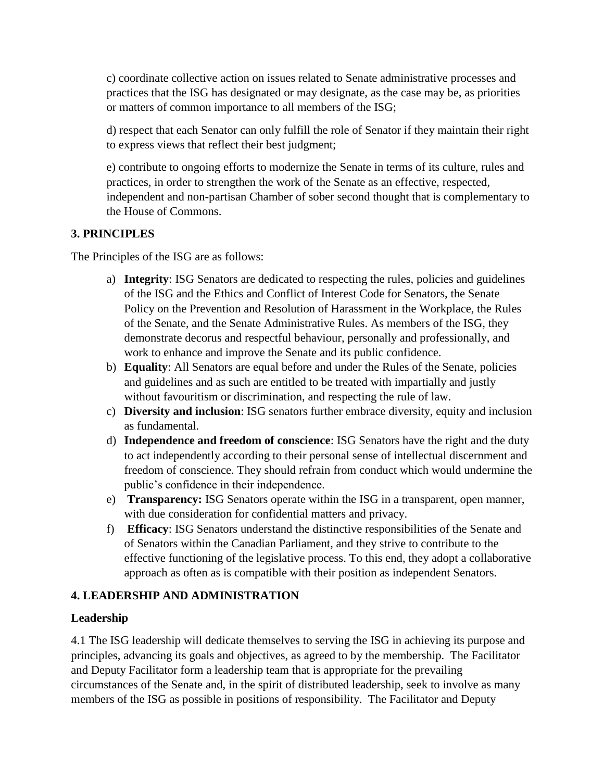c) coordinate collective action on issues related to Senate administrative processes and practices that the ISG has designated or may designate, as the case may be, as priorities or matters of common importance to all members of the ISG;

d) respect that each Senator can only fulfill the role of Senator if they maintain their right to express views that reflect their best judgment;

e) contribute to ongoing efforts to modernize the Senate in terms of its culture, rules and practices, in order to strengthen the work of the Senate as an effective, respected, independent and non-partisan Chamber of sober second thought that is complementary to the House of Commons.

# **3. PRINCIPLES**

The Principles of the ISG are as follows:

- a) **Integrity**: ISG Senators are dedicated to respecting the rules, policies and guidelines of the ISG and the Ethics and Conflict of Interest Code for Senators, the Senate Policy on the Prevention and Resolution of Harassment in the Workplace, the Rules of the Senate, and the Senate Administrative Rules. As members of the ISG, they demonstrate decorus and respectful behaviour, personally and professionally, and work to enhance and improve the Senate and its public confidence.
- b) **Equality**: All Senators are equal before and under the Rules of the Senate, policies and guidelines and as such are entitled to be treated with impartially and justly without favouritism or discrimination, and respecting the rule of law.
- c) **Diversity and inclusion**: ISG senators further embrace diversity, equity and inclusion as fundamental.
- d) **Independence and freedom of conscience**: ISG Senators have the right and the duty to act independently according to their personal sense of intellectual discernment and freedom of conscience. They should refrain from conduct which would undermine the public's confidence in their independence.
- e) **Transparency:** ISG Senators operate within the ISG in a transparent, open manner, with due consideration for confidential matters and privacy.
- f) **Efficacy**: ISG Senators understand the distinctive responsibilities of the Senate and of Senators within the Canadian Parliament, and they strive to contribute to the effective functioning of the legislative process. To this end, they adopt a collaborative approach as often as is compatible with their position as independent Senators.

## **4. LEADERSHIP AND ADMINISTRATION**

## **Leadership**

4.1 The ISG leadership will dedicate themselves to serving the ISG in achieving its purpose and principles, advancing its goals and objectives, as agreed to by the membership. The Facilitator and Deputy Facilitator form a leadership team that is appropriate for the prevailing circumstances of the Senate and, in the spirit of distributed leadership, seek to involve as many members of the ISG as possible in positions of responsibility. The Facilitator and Deputy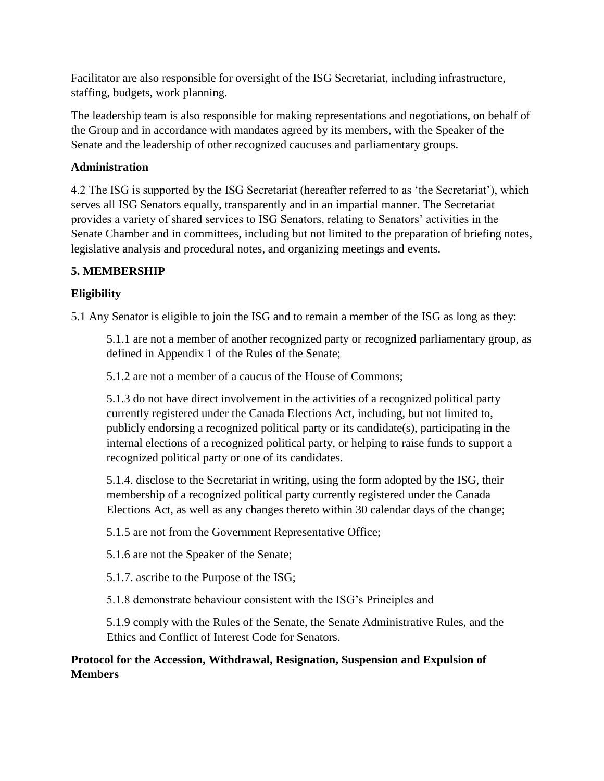Facilitator are also responsible for oversight of the ISG Secretariat, including infrastructure, staffing, budgets, work planning.

The leadership team is also responsible for making representations and negotiations, on behalf of the Group and in accordance with mandates agreed by its members, with the Speaker of the Senate and the leadership of other recognized caucuses and parliamentary groups.

# **Administration**

4.2 The ISG is supported by the ISG Secretariat (hereafter referred to as 'the Secretariat'), which serves all ISG Senators equally, transparently and in an impartial manner. The Secretariat provides a variety of shared services to ISG Senators, relating to Senators' activities in the Senate Chamber and in committees, including but not limited to the preparation of briefing notes, legislative analysis and procedural notes, and organizing meetings and events.

# **5. MEMBERSHIP**

# **Eligibility**

5.1 Any Senator is eligible to join the ISG and to remain a member of the ISG as long as they:

5.1.1 are not a member of another recognized party or recognized parliamentary group, as defined in Appendix 1 of the Rules of the Senate;

5.1.2 are not a member of a caucus of the House of Commons;

5.1.3 do not have direct involvement in the activities of a recognized political party currently registered under the Canada Elections Act, including, but not limited to, publicly endorsing a recognized political party or its candidate(s), participating in the internal elections of a recognized political party, or helping to raise funds to support a recognized political party or one of its candidates.

5.1.4. disclose to the Secretariat in writing, using the form adopted by the ISG, their membership of a recognized political party currently registered under the Canada Elections Act, as well as any changes thereto within 30 calendar days of the change;

5.1.5 are not from the Government Representative Office;

5.1.6 are not the Speaker of the Senate;

5.1.7. ascribe to the Purpose of the ISG;

5.1.8 demonstrate behaviour consistent with the ISG's Principles and

5.1.9 comply with the Rules of the Senate, the Senate Administrative Rules, and the Ethics and Conflict of Interest Code for Senators.

# **Protocol for the Accession, Withdrawal, Resignation, Suspension and Expulsion of Members**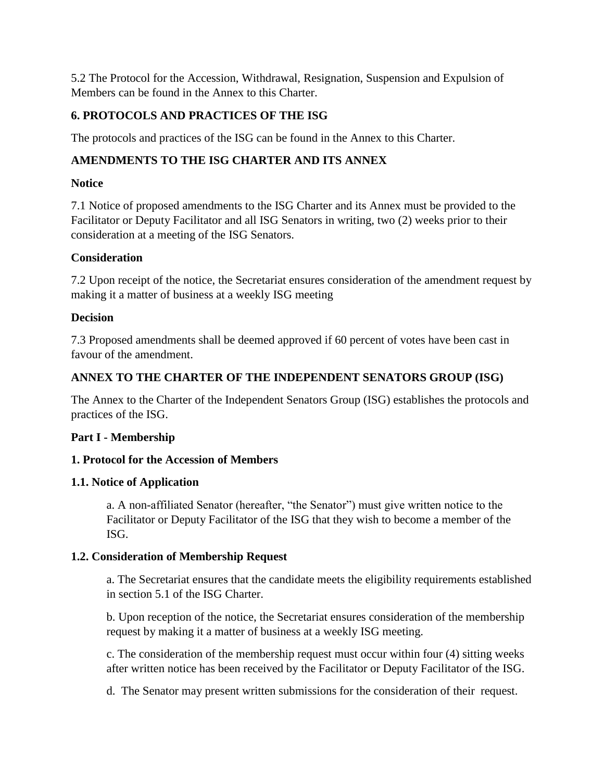5.2 The Protocol for the Accession, Withdrawal, Resignation, Suspension and Expulsion of Members can be found in the Annex to this Charter.

# **6. PROTOCOLS AND PRACTICES OF THE ISG**

The protocols and practices of the ISG can be found in the Annex to this Charter.

# **AMENDMENTS TO THE ISG CHARTER AND ITS ANNEX**

# **Notice**

7.1 Notice of proposed amendments to the ISG Charter and its Annex must be provided to the Facilitator or Deputy Facilitator and all ISG Senators in writing, two (2) weeks prior to their consideration at a meeting of the ISG Senators.

# **Consideration**

7.2 Upon receipt of the notice, the Secretariat ensures consideration of the amendment request by making it a matter of business at a weekly ISG meeting

# **Decision**

7.3 Proposed amendments shall be deemed approved if 60 percent of votes have been cast in favour of the amendment.

# **ANNEX TO THE CHARTER OF THE INDEPENDENT SENATORS GROUP (ISG)**

The Annex to the Charter of the Independent Senators Group (ISG) establishes the protocols and practices of the ISG.

# **Part I - Membership**

# **1. Protocol for the Accession of Members**

## **1.1. Notice of Application**

a. A non-affiliated Senator (hereafter, "the Senator") must give written notice to the Facilitator or Deputy Facilitator of the ISG that they wish to become a member of the ISG.

## **1.2. Consideration of Membership Request**

a. The Secretariat ensures that the candidate meets the eligibility requirements established in section 5.1 of the ISG Charter.

b. Upon reception of the notice, the Secretariat ensures consideration of the membership request by making it a matter of business at a weekly ISG meeting.

c. The consideration of the membership request must occur within four (4) sitting weeks after written notice has been received by the Facilitator or Deputy Facilitator of the ISG.

d. The Senator may present written submissions for the consideration of their request.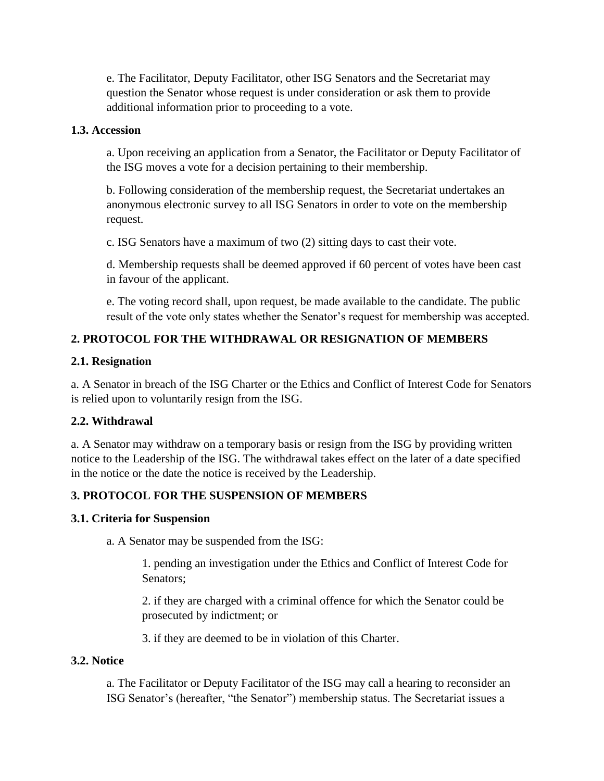e. The Facilitator, Deputy Facilitator, other ISG Senators and the Secretariat may question the Senator whose request is under consideration or ask them to provide additional information prior to proceeding to a vote.

### **1.3. Accession**

a. Upon receiving an application from a Senator, the Facilitator or Deputy Facilitator of the ISG moves a vote for a decision pertaining to their membership.

b. Following consideration of the membership request, the Secretariat undertakes an anonymous electronic survey to all ISG Senators in order to vote on the membership request.

c. ISG Senators have a maximum of two (2) sitting days to cast their vote.

d. Membership requests shall be deemed approved if 60 percent of votes have been cast in favour of the applicant.

e. The voting record shall, upon request, be made available to the candidate. The public result of the vote only states whether the Senator's request for membership was accepted.

# **2. PROTOCOL FOR THE WITHDRAWAL OR RESIGNATION OF MEMBERS**

### **2.1. Resignation**

a. A Senator in breach of the ISG Charter or the Ethics and Conflict of Interest Code for Senators is relied upon to voluntarily resign from the ISG.

## **2.2. Withdrawal**

a. A Senator may withdraw on a temporary basis or resign from the ISG by providing written notice to the Leadership of the ISG. The withdrawal takes effect on the later of a date specified in the notice or the date the notice is received by the Leadership.

# **3. PROTOCOL FOR THE SUSPENSION OF MEMBERS**

## **3.1. Criteria for Suspension**

a. A Senator may be suspended from the ISG:

1. pending an investigation under the Ethics and Conflict of Interest Code for Senators;

2. if they are charged with a criminal offence for which the Senator could be prosecuted by indictment; or

3. if they are deemed to be in violation of this Charter.

#### **3.2. Notice**

a. The Facilitator or Deputy Facilitator of the ISG may call a hearing to reconsider an ISG Senator's (hereafter, "the Senator") membership status. The Secretariat issues a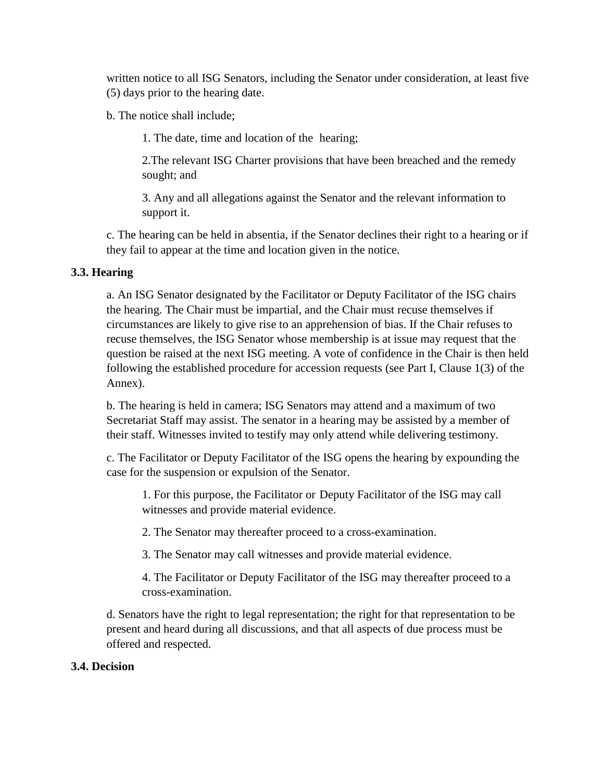written notice to all ISG Senators, including the Senator under consideration, at least five (5) days prior to the hearing date.

b. The notice shall include;

1. The date, time and location of the hearing;

2.The relevant ISG Charter provisions that have been breached and the remedy sought; and

3. Any and all allegations against the Senator and the relevant information to support it.

c. The hearing can be held in absentia, if the Senator declines their right to a hearing or if they fail to appear at the time and location given in the notice.

### **3.3. Hearing**

a. An ISG Senator designated by the Facilitator or Deputy Facilitator of the ISG chairs the hearing. The Chair must be impartial, and the Chair must recuse themselves if circumstances are likely to give rise to an apprehension of bias. If the Chair refuses to recuse themselves, the ISG Senator whose membership is at issue may request that the question be raised at the next ISG meeting. A vote of confidence in the Chair is then held following the established procedure for accession requests (see Part I, Clause 1(3) of the Annex).

b. The hearing is held in camera; ISG Senators may attend and a maximum of two Secretariat Staff may assist. The senator in a hearing may be assisted by a member of their staff. Witnesses invited to testify may only attend while delivering testimony.

c. The Facilitator or Deputy Facilitator of the ISG opens the hearing by expounding the case for the suspension or expulsion of the Senator.

1. For this purpose, the Facilitator or Deputy Facilitator of the ISG may call witnesses and provide material evidence.

2. The Senator may thereafter proceed to a cross-examination.

3. The Senator may call witnesses and provide material evidence.

4. The Facilitator or Deputy Facilitator of the ISG may thereafter proceed to a cross-examination.

d. Senators have the right to legal representation; the right for that representation to be present and heard during all discussions, and that all aspects of due process must be offered and respected.

#### **3.4. Decision**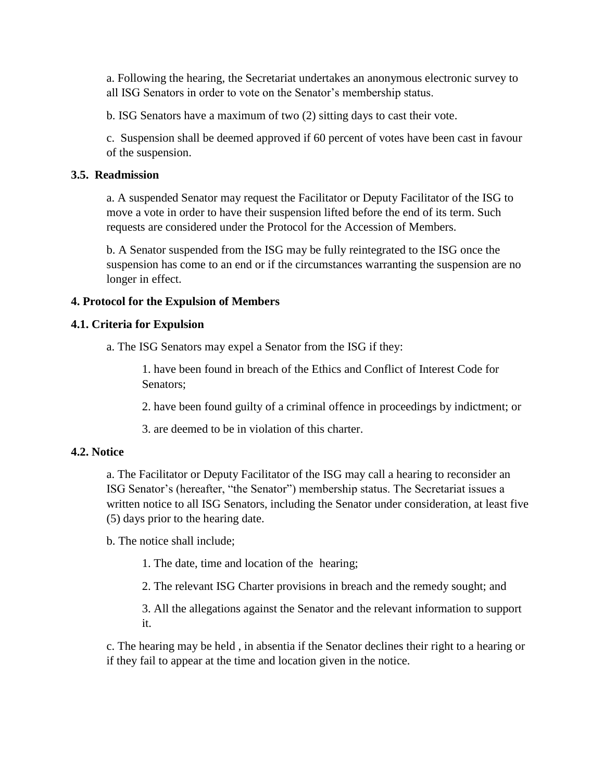a. Following the hearing, the Secretariat undertakes an anonymous electronic survey to all ISG Senators in order to vote on the Senator's membership status.

b. ISG Senators have a maximum of two (2) sitting days to cast their vote.

c. Suspension shall be deemed approved if 60 percent of votes have been cast in favour of the suspension.

#### **3.5. Readmission**

a. A suspended Senator may request the Facilitator or Deputy Facilitator of the ISG to move a vote in order to have their suspension lifted before the end of its term. Such requests are considered under the Protocol for the Accession of Members.

b. A Senator suspended from the ISG may be fully reintegrated to the ISG once the suspension has come to an end or if the circumstances warranting the suspension are no longer in effect.

## **4. Protocol for the Expulsion of Members**

### **4.1. Criteria for Expulsion**

a. The ISG Senators may expel a Senator from the ISG if they:

1. have been found in breach of the Ethics and Conflict of Interest Code for Senators;

2. have been found guilty of a criminal offence in proceedings by indictment; or

3. are deemed to be in violation of this charter.

#### **4.2. Notice**

a. The Facilitator or Deputy Facilitator of the ISG may call a hearing to reconsider an ISG Senator's (hereafter, "the Senator") membership status. The Secretariat issues a written notice to all ISG Senators, including the Senator under consideration, at least five (5) days prior to the hearing date.

b. The notice shall include;

1. The date, time and location of the hearing;

2. The relevant ISG Charter provisions in breach and the remedy sought; and

3. All the allegations against the Senator and the relevant information to support it.

c. The hearing may be held , in absentia if the Senator declines their right to a hearing or if they fail to appear at the time and location given in the notice.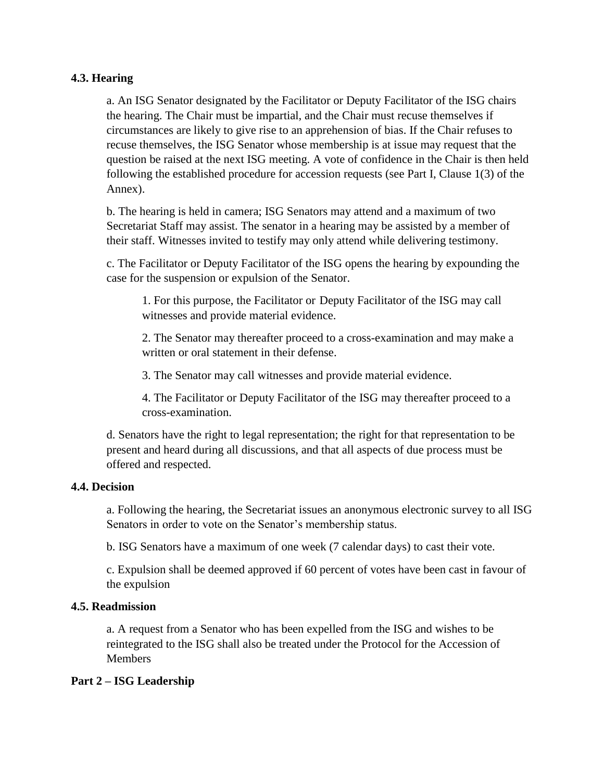### **4.3. Hearing**

a. An ISG Senator designated by the Facilitator or Deputy Facilitator of the ISG chairs the hearing. The Chair must be impartial, and the Chair must recuse themselves if circumstances are likely to give rise to an apprehension of bias. If the Chair refuses to recuse themselves, the ISG Senator whose membership is at issue may request that the question be raised at the next ISG meeting. A vote of confidence in the Chair is then held following the established procedure for accession requests (see Part I, Clause 1(3) of the Annex).

b. The hearing is held in camera; ISG Senators may attend and a maximum of two Secretariat Staff may assist. The senator in a hearing may be assisted by a member of their staff. Witnesses invited to testify may only attend while delivering testimony.

c. The Facilitator or Deputy Facilitator of the ISG opens the hearing by expounding the case for the suspension or expulsion of the Senator.

1. For this purpose, the Facilitator or Deputy Facilitator of the ISG may call witnesses and provide material evidence.

2. The Senator may thereafter proceed to a cross-examination and may make a written or oral statement in their defense.

3. The Senator may call witnesses and provide material evidence.

4. The Facilitator or Deputy Facilitator of the ISG may thereafter proceed to a cross-examination.

d. Senators have the right to legal representation; the right for that representation to be present and heard during all discussions, and that all aspects of due process must be offered and respected.

#### **4.4. Decision**

a. Following the hearing, the Secretariat issues an anonymous electronic survey to all ISG Senators in order to vote on the Senator's membership status.

b. ISG Senators have a maximum of one week (7 calendar days) to cast their vote.

c. Expulsion shall be deemed approved if 60 percent of votes have been cast in favour of the expulsion

#### **4.5. Readmission**

a. A request from a Senator who has been expelled from the ISG and wishes to be reintegrated to the ISG shall also be treated under the Protocol for the Accession of **Members** 

## **Part 2 – ISG Leadership**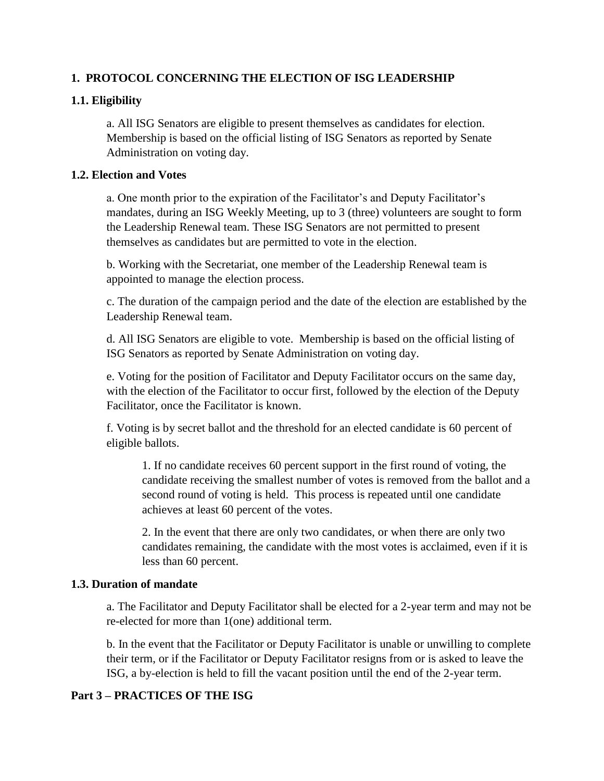## **1. PROTOCOL CONCERNING THE ELECTION OF ISG LEADERSHIP**

## **1.1. Eligibility**

a. All ISG Senators are eligible to present themselves as candidates for election. Membership is based on the official listing of ISG Senators as reported by Senate Administration on voting day.

### **1.2. Election and Votes**

a. One month prior to the expiration of the Facilitator's and Deputy Facilitator's mandates, during an ISG Weekly Meeting, up to 3 (three) volunteers are sought to form the Leadership Renewal team. These ISG Senators are not permitted to present themselves as candidates but are permitted to vote in the election.

b. Working with the Secretariat, one member of the Leadership Renewal team is appointed to manage the election process.

c. The duration of the campaign period and the date of the election are established by the Leadership Renewal team.

d. All ISG Senators are eligible to vote. Membership is based on the official listing of ISG Senators as reported by Senate Administration on voting day.

e. Voting for the position of Facilitator and Deputy Facilitator occurs on the same day, with the election of the Facilitator to occur first, followed by the election of the Deputy Facilitator, once the Facilitator is known.

f. Voting is by secret ballot and the threshold for an elected candidate is 60 percent of eligible ballots.

1. If no candidate receives 60 percent support in the first round of voting, the candidate receiving the smallest number of votes is removed from the ballot and a second round of voting is held. This process is repeated until one candidate achieves at least 60 percent of the votes.

2. In the event that there are only two candidates, or when there are only two candidates remaining, the candidate with the most votes is acclaimed, even if it is less than 60 percent.

## **1.3. Duration of mandate**

a. The Facilitator and Deputy Facilitator shall be elected for a 2-year term and may not be re-elected for more than 1(one) additional term.

b. In the event that the Facilitator or Deputy Facilitator is unable or unwilling to complete their term, or if the Facilitator or Deputy Facilitator resigns from or is asked to leave the ISG, a by-election is held to fill the vacant position until the end of the 2-year term.

## **Part 3 – PRACTICES OF THE ISG**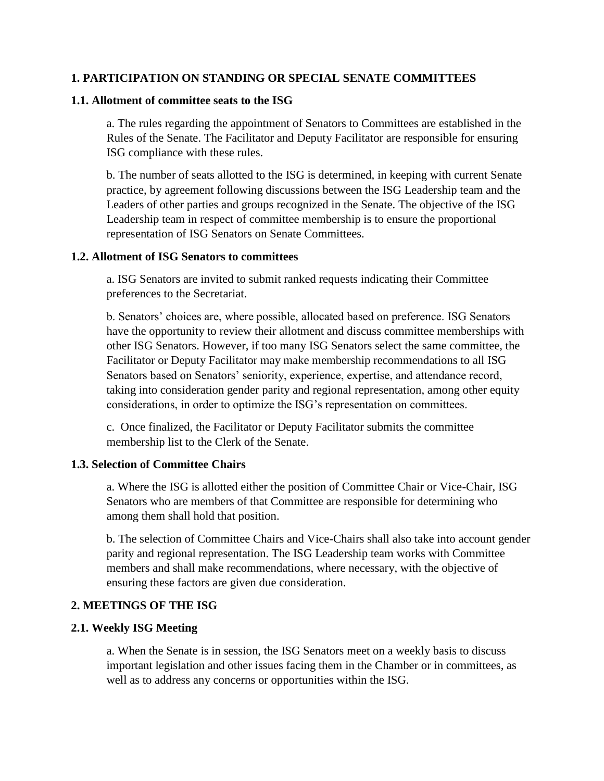#### **1. PARTICIPATION ON STANDING OR SPECIAL SENATE COMMITTEES**

#### **1.1. Allotment of committee seats to the ISG**

a. The rules regarding the appointment of Senators to Committees are established in the Rules of the Senate. The Facilitator and Deputy Facilitator are responsible for ensuring ISG compliance with these rules.

b. The number of seats allotted to the ISG is determined, in keeping with current Senate practice, by agreement following discussions between the ISG Leadership team and the Leaders of other parties and groups recognized in the Senate. The objective of the ISG Leadership team in respect of committee membership is to ensure the proportional representation of ISG Senators on Senate Committees.

#### **1.2. Allotment of ISG Senators to committees**

a. ISG Senators are invited to submit ranked requests indicating their Committee preferences to the Secretariat.

b. Senators' choices are, where possible, allocated based on preference. ISG Senators have the opportunity to review their allotment and discuss committee memberships with other ISG Senators. However, if too many ISG Senators select the same committee, the Facilitator or Deputy Facilitator may make membership recommendations to all ISG Senators based on Senators' seniority, experience, expertise, and attendance record, taking into consideration gender parity and regional representation, among other equity considerations, in order to optimize the ISG's representation on committees.

c. Once finalized, the Facilitator or Deputy Facilitator submits the committee membership list to the Clerk of the Senate.

#### **1.3. Selection of Committee Chairs**

a. Where the ISG is allotted either the position of Committee Chair or Vice-Chair, ISG Senators who are members of that Committee are responsible for determining who among them shall hold that position.

b. The selection of Committee Chairs and Vice-Chairs shall also take into account gender parity and regional representation. The ISG Leadership team works with Committee members and shall make recommendations, where necessary, with the objective of ensuring these factors are given due consideration.

#### **2. MEETINGS OF THE ISG**

#### **2.1. Weekly ISG Meeting**

a. When the Senate is in session, the ISG Senators meet on a weekly basis to discuss important legislation and other issues facing them in the Chamber or in committees, as well as to address any concerns or opportunities within the ISG.